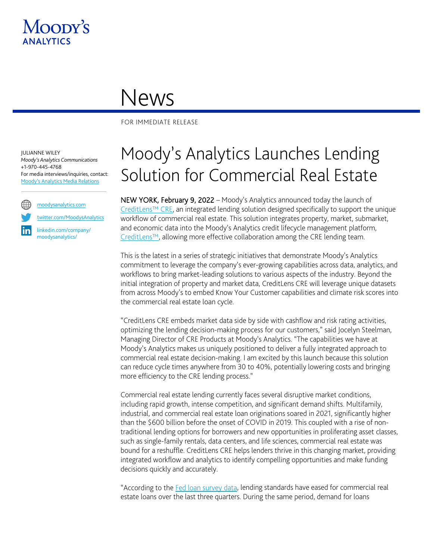

## News

FOR IMMEDIATE RELEASE

JULIANNE WILEY *Moody's Analytics Communications* +1-970-445-4768 For media interviews/inquiries, contact: [Moody's Analytics Media Relations](mailto:MAMediarelations@moodys.com?subject=Title%20of%20Press%20Release)



[twitter.com/MoodysAnalytics](https://twitter.com/MA_CRESolutions)

[linkedin.com/company/](https://www.linkedin.com/company/moodysanalytics-cre/) [moodysanalytics/](https://www.linkedin.com/company/moodysanalytics-cre/)

## Moody's Analytics Launches Lending Solution for Commercial Real Estate

NEW YORK, February 9, 2022 – Moody's Analytics announced today the launch of [CreditLens™ CRE,](https://www.moodysanalytics.com/microsites/creditlens-cre) an integrated lending solution designed specifically to support the unique workflow of commercial real estate. This solution integrates property, market, submarket, and economic data into the Moody's Analytics credit lifecycle management platform, [CreditLens™](https://www.moodysanalytics.com/microsites/the-creditlens-solution/), allowing more effective collaboration among the CRE lending team.

This is the latest in a series of strategic initiatives that demonstrate Moody's Analytics commitment to leverage the company's ever-growing capabilities across data, analytics, and workflows to bring market-leading solutions to various aspects of the industry. Beyond the initial integration of property and market data, CreditLens CRE will leverage unique datasets from across Moody's to embed Know Your Customer capabilities and climate risk scores into the commercial real estate loan cycle.

"CreditLens CRE embeds market data side by side with cashflow and risk rating activities, optimizing the lending decision-making process for our customers," said Jocelyn Steelman, Managing Director of CRE Products at Moody's Analytics. "The capabilities we have at Moody's Analytics makes us uniquely positioned to deliver a fully integrated approach to commercial real estate decision-making. I am excited by this launch because this solution can reduce cycle times anywhere from 30 to 40%, potentially lowering costs and bringing more efficiency to the CRE lending process."

Commercial real estate lending currently faces several disruptive market conditions, including rapid growth, intense competition, and significant demand shifts. Multifamily, industrial, and commercial real estate loan originations soared in 2021, significantly higher than the \$600 billion before the onset of COVID in 2019. This coupled with a rise of nontraditional lending options for borrowers and new opportunities in proliferating asset classes, such as single-family rentals, data centers, and life sciences, commercial real estate was bound for a reshuffle. CreditLens CRE helps lenders thrive in this changing market, providing integrated workflow and analytics to identify compelling opportunities and make funding decisions quickly and accurately.

"According to the [Fed loan survey data,](https://www.federalreserve.gov/data/sloos/sloos-202201.htm) lending standards have eased for commercial real estate loans over the last three quarters. During the same period, demand for loans